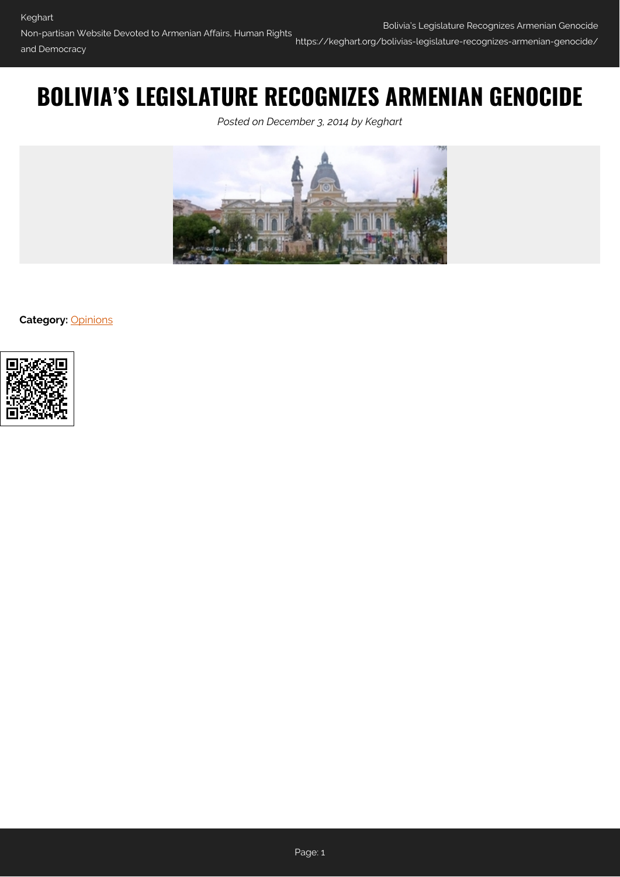# **BOLIVIA'S LEGISLATURE RECOGNIZES ARMENIAN GENOCIDE**

*Posted on December 3, 2014 by Keghart*



**Category: [Opinions](https://keghart.org/category/opinions/)** 

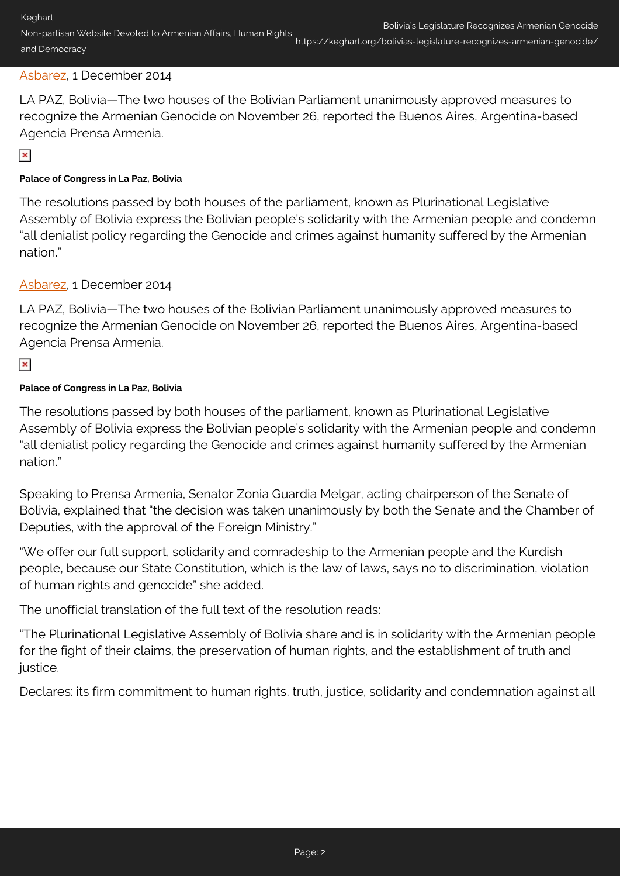# [Asbarez,](http://asbarez.com/129361/bolivias-legislature-unanimously-recognizes-armenian-genocide/) 1 December 2014

LA PAZ, Bolivia—The two houses of the Bolivian Parliament unanimously approved measures to recognize the Armenian Genocide on November 26, reported the Buenos Aires, Argentina-based Agencia Prensa Armenia.

 $\pmb{\times}$ 

#### **Palace of Congress in La Paz, Bolivia**

The resolutions passed by both houses of the parliament, known as Plurinational Legislative Assembly of Bolivia express the Bolivian people's solidarity with the Armenian people and condemn "all denialist policy regarding the Genocide and crimes against humanity suffered by the Armenian nation."

# [Asbarez,](http://asbarez.com/129361/bolivias-legislature-unanimously-recognizes-armenian-genocide/) 1 December 2014

LA PAZ, Bolivia—The two houses of the Bolivian Parliament unanimously approved measures to recognize the Armenian Genocide on November 26, reported the Buenos Aires, Argentina-based Agencia Prensa Armenia.

# $\pmb{\times}$

#### **Palace of Congress in La Paz, Bolivia**

The resolutions passed by both houses of the parliament, known as Plurinational Legislative Assembly of Bolivia express the Bolivian people's solidarity with the Armenian people and condemn "all denialist policy regarding the Genocide and crimes against humanity suffered by the Armenian nation."

Speaking to Prensa Armenia, Senator Zonia Guardia Melgar, acting chairperson of the Senate of Bolivia, explained that "the decision was taken unanimously by both the Senate and the Chamber of Deputies, with the approval of the Foreign Ministry."

"We offer our full support, solidarity and comradeship to the Armenian people and the Kurdish people, because our State Constitution, which is the law of laws, says no to discrimination, violation of human rights and genocide" she added.

The unofficial translation of the full text of the resolution reads:

"The Plurinational Legislative Assembly of Bolivia share and is in solidarity with the Armenian people for the fight of their claims, the preservation of human rights, and the establishment of truth and iustice.

Declares: its firm commitment to human rights, truth, justice, solidarity and condemnation against all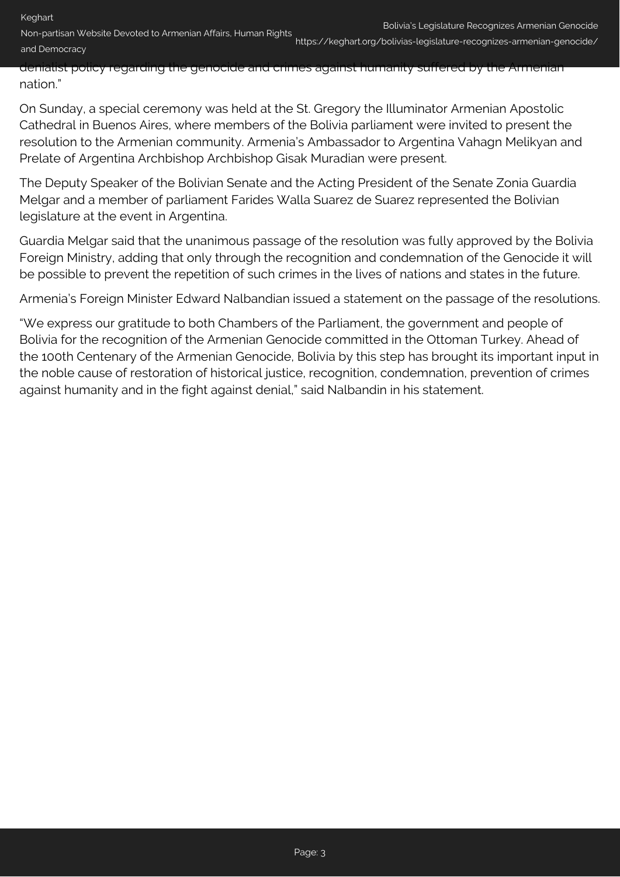Non-partisan Website Devoted to Armenian Affairs, Human Rights and Democracy

https://keghart.org/bolivias-legislature-recognizes-armenian-genocide/

denialist policy regarding the genocide and crimes against humanity suffered by the Armenian nation."

On Sunday, a special ceremony was held at the St. Gregory the Illuminator Armenian Apostolic Cathedral in Buenos Aires, where members of the Bolivia parliament were invited to present the resolution to the Armenian community. Armenia's Ambassador to Argentina Vahagn Melikyan and Prelate of Argentina Archbishop Archbishop Gisak Muradian were present.

The Deputy Speaker of the Bolivian Senate and the Acting President of the Senate Zonia Guardia Melgar and a member of parliament Farides Walla Suarez de Suarez represented the Bolivian legislature at the event in Argentina.

Guardia Melgar said that the unanimous passage of the resolution was fully approved by the Bolivia Foreign Ministry, adding that only through the recognition and condemnation of the Genocide it will be possible to prevent the repetition of such crimes in the lives of nations and states in the future.

Armenia's Foreign Minister Edward Nalbandian issued a statement on the passage of the resolutions.

"We express our gratitude to both Chambers of the Parliament, the government and people of Bolivia for the recognition of the Armenian Genocide committed in the Ottoman Turkey. Ahead of the 100th Centenary of the Armenian Genocide, Bolivia by this step has brought its important input in the noble cause of restoration of historical justice, recognition, condemnation, prevention of crimes against humanity and in the fight against denial," said Nalbandin in his statement.